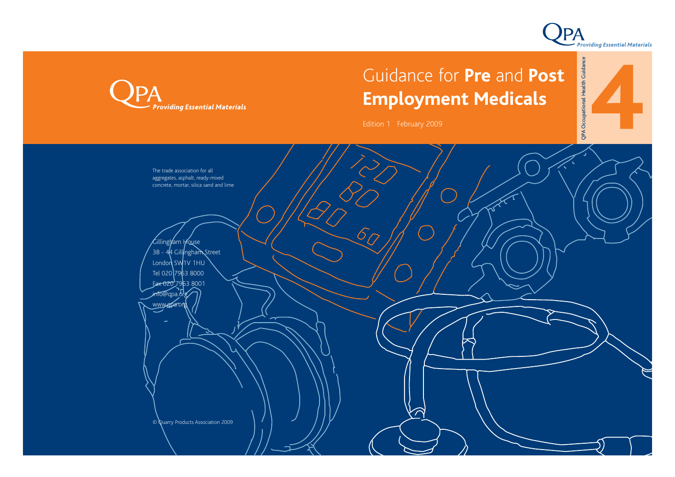



# Guidance for **Pre** and **Post Employment Medicals**

Edition 1 February 2009

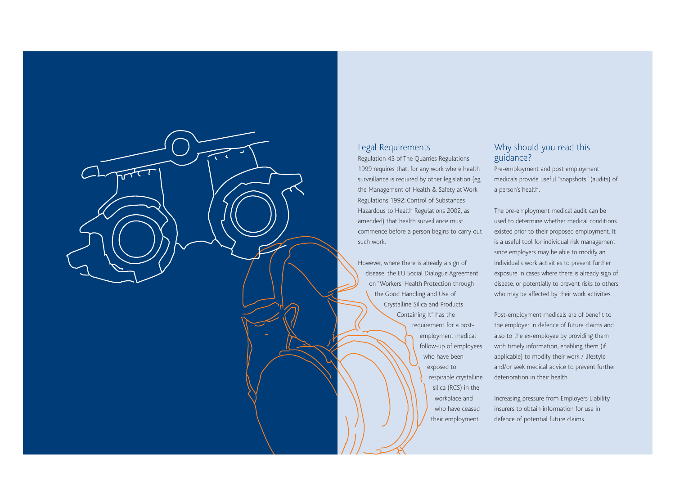

### Legal Requirements

Regulation 43 of The Quarries Regulations 1999 requires that, for any work where health surveillance is required by other legislation (eg the Management of Health & Safety at Work Regulations 1992; Control of Substances Hazardous to Health Regulations 2002, as amended) that health surveillance must commence before a person begins to carry out such work.

However, where there is already a sign of disease, the EU Social Dialogue Agreement on "Workers' Health Protection through the Good Handling and Use of Crystalline Silica and Products Containing It" has the requirement for a postemployment medical follow-up of employees who have been exposed to respirable crystalline silica (RCS) in the workplace and who have ceased their employment.

## Why should you read this guidance?

Pre-employment and post employment medicals provide useful "snapshots" (audits) of a person's health.

The pre-employment medical audit can be used to determine whether medical conditions existed prior to their proposed employment. It is a useful tool for individual risk management since employers may be able to modify an individual's work activities to prevent further exposure in cases where there is already sign of disease, or potentially to prevent risks to others who may be affected by their work activities.

Post-employment medicals are of benefit to the employer in defence of future claims and also to the ex-employee by providing them with timely information, enabling them (if applicable) to modify their work / lifestyle and/or seek medical advice to prevent further deterioration in their health.

Increasing pressure from Employers Liability insurers to obtain information for use in defence of potential future claims.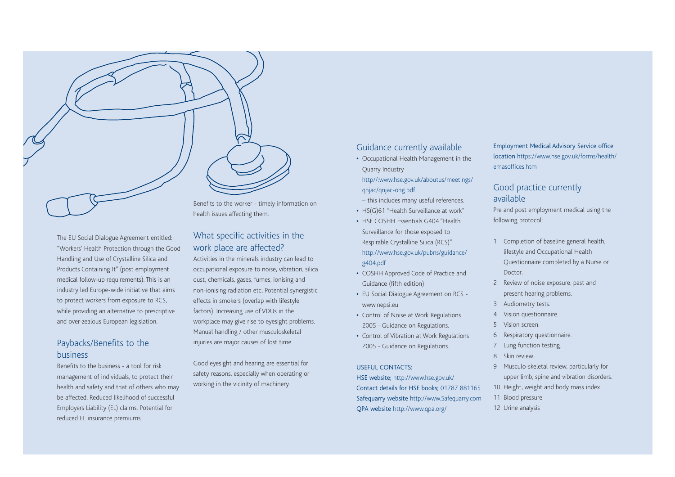The EU Social Dialogue Agreement entitled: "Workers' Health Protection through the Good Handling and Use of Crystalline Silica and Products Containing It" (post employment medical follow-up requirements). This is an industry led Europe-wide initiative that aims to protect workers from exposure to RCS, while providing an alternative to prescriptive and over-zealous European legislation.

## Paybacks/Benefits to the business

Benefits to the business - a tool for risk management of individuals, to protect their health and safety and that of others who may be affected. Reduced likelihood of successful Employers Liability (EL) claims. Potential for reduced EL insurance premiums.

Benefits to the worker - timely information on health issues affecting them.

## What specific activities in the work place are affected?

Activities in the minerals industry can lead to occupational exposure to noise, vibration, silica dust, chemicals, gases, fumes, ionising and non-ionising radiation etc. Potential synergistic effects in smokers (overlap with lifestyle factors). Increasing use of VDUs in the workplace may give rise to eyesight problems. Manual handling / other musculoskeletal injuries are major causes of lost time.

Good eyesight and hearing are essential for safety reasons, especially when operating or working in the vicinity of machinery.

## Guidance currently available

**•** Occupational Health Management in the Quarry Industry http//:www.hse.gov.uk/aboutus/meetings/

qnjac/qnjac-ohg.pdf

– this includes many useful references.

- **•** HS(G)61 "Health Surveillance at work"
- **•** HSE COSHH Essentials G404 "Health Surveillance for those exposed to Respirable Crystalline Silica (RCS)" http://www.hse.gov.uk/pubns/guidance/ g404.pdf
- **•** COSHH Approved Code of Practice and Guidance (fifth edition)
- **•** EU Social Dialogue Agreement on RCS www.nepsi.eu
- **•** Control of Noise at Work Regulations 2005 - Guidance on Regulations.
- **•** Control of Vibration at Work Regulations 2005 - Guidance on Regulations.

#### USEFUL CONTACTS:

HSE website; http://www.hse.gov.uk/ Contact details for HSE books; 01787 881165 Safequarry website http://www.Safequarry.com QPA website http://www.qpa.org/

Employment Medical Advisory Service office location https://www.hse.gov.uk/forms/health/ emasoffices.htm

## Good practice currently available

Pre and post employment medical using the following protocol:

- 1 Completion of baseline general health, lifestyle and Occupational Health Questionnaire completed by a Nurse or Doctor.
- 2 Review of noise exposure, past and present hearing problems.
- 3 Audiometry tests.
- 4 Vision questionnaire.
- 5 Vision screen.
- 6 Respiratory questionnaire.
- <sup>7</sup> Lung function testing.
- 8 Skin review.
- 9 Musculo-skeletal review, particularly for upper limb, spine and vibration disorders.
- 10 Height, weight and body mass index
- 11 Blood pressure
- 12 Urine analysis